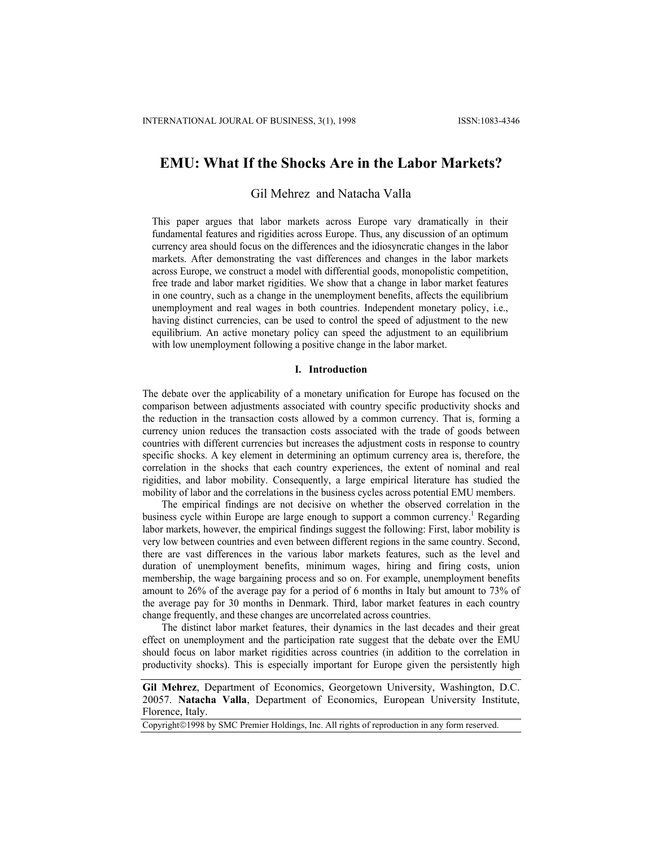# **EMU: What If the Shocks Are in the Labor Markets?**

# Gil Mehrez and Natacha Valla

This paper argues that labor markets across Europe vary dramatically in their fundamental features and rigidities across Europe. Thus, any discussion of an optimum currency area should focus on the differences and the idiosyncratic changes in the labor markets. After demonstrating the vast differences and changes in the labor markets across Europe, we construct a model with differential goods, monopolistic competition, free trade and labor market rigidities. We show that a change in labor market features in one country, such as a change in the unemployment benefits, affects the equilibrium unemployment and real wages in both countries. Independent monetary policy, i.e., having distinct currencies, can be used to control the speed of adjustment to the new equilibrium. An active monetary policy can speed the adjustment to an equilibrium with low unemployment following a positive change in the labor market.

## **I. Introduction**

The debate over the applicability of a monetary unification for Europe has focused on the comparison between adjustments associated with country specific productivity shocks and the reduction in the transaction costs allowed by a common currency. That is, forming a currency union reduces the transaction costs associated with the trade of goods between countries with different currencies but increases the adjustment costs in response to country specific shocks. A key element in determining an optimum currency area is, therefore, the correlation in the shocks that each country experiences, the extent of nominal and real rigidities, and labor mobility. Consequently, a large empirical literature has studied the mobility of labor and the correlations in the business cycles across potential EMU members.

The empirical findings are not decisive on whether the observed correlation in the business cycle within Europe are large enough to support a common currency.<sup>1</sup> Regarding labor markets, however, the empirical findings suggest the following: First, labor mobility is very low between countries and even between different regions in the same country. Second, there are vast differences in the various labor markets features, such as the level and duration of unemployment benefits, minimum wages, hiring and firing costs, union membership, the wage bargaining process and so on. For example, unemployment benefits amount to 26% of the average pay for a period of 6 months in Italy but amount to 73% of the average pay for 30 months in Denmark. Third, labor market features in each country change frequently, and these changes are uncorrelated across countries.

The distinct labor market features, their dynamics in the last decades and their great effect on unemployment and the participation rate suggest that the debate over the EMU should focus on labor market rigidities across countries (in addition to the correlation in productivity shocks). This is especially important for Europe given the persistently high

Copyright©1998 by SMC Premier Holdings, Inc. All rights of reproduction in any form reserved.

**Gil Mehrez**, Department of Economics, Georgetown University, Washington, D.C. 20057. **Natacha Valla**, Department of Economics, European University Institute, Florence, Italy.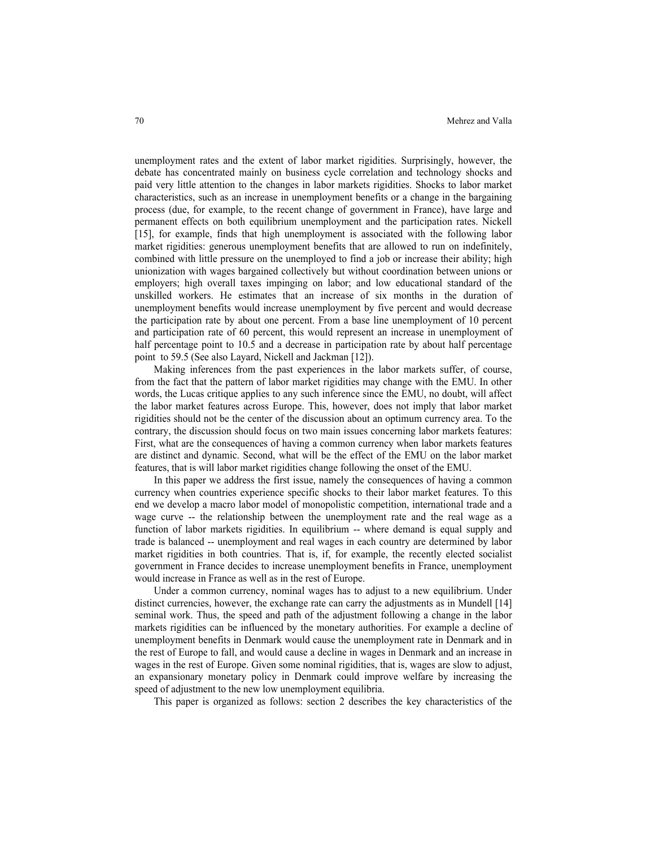unemployment rates and the extent of labor market rigidities. Surprisingly, however, the debate has concentrated mainly on business cycle correlation and technology shocks and paid very little attention to the changes in labor markets rigidities. Shocks to labor market characteristics, such as an increase in unemployment benefits or a change in the bargaining process (due, for example, to the recent change of government in France), have large and permanent effects on both equilibrium unemployment and the participation rates. Nickell [15], for example, finds that high unemployment is associated with the following labor market rigidities: generous unemployment benefits that are allowed to run on indefinitely, combined with little pressure on the unemployed to find a job or increase their ability; high unionization with wages bargained collectively but without coordination between unions or employers; high overall taxes impinging on labor; and low educational standard of the unskilled workers. He estimates that an increase of six months in the duration of unemployment benefits would increase unemployment by five percent and would decrease the participation rate by about one percent. From a base line unemployment of 10 percent and participation rate of 60 percent, this would represent an increase in unemployment of half percentage point to 10.5 and a decrease in participation rate by about half percentage point to 59.5 (See also Layard, Nickell and Jackman [12]).

Making inferences from the past experiences in the labor markets suffer, of course, from the fact that the pattern of labor market rigidities may change with the EMU. In other words, the Lucas critique applies to any such inference since the EMU, no doubt, will affect the labor market features across Europe. This, however, does not imply that labor market rigidities should not be the center of the discussion about an optimum currency area. To the contrary, the discussion should focus on two main issues concerning labor markets features: First, what are the consequences of having a common currency when labor markets features are distinct and dynamic. Second, what will be the effect of the EMU on the labor market features, that is will labor market rigidities change following the onset of the EMU.

In this paper we address the first issue, namely the consequences of having a common currency when countries experience specific shocks to their labor market features. To this end we develop a macro labor model of monopolistic competition, international trade and a wage curve -- the relationship between the unemployment rate and the real wage as a function of labor markets rigidities. In equilibrium -- where demand is equal supply and trade is balanced -- unemployment and real wages in each country are determined by labor market rigidities in both countries. That is, if, for example, the recently elected socialist government in France decides to increase unemployment benefits in France, unemployment would increase in France as well as in the rest of Europe.

Under a common currency, nominal wages has to adjust to a new equilibrium. Under distinct currencies, however, the exchange rate can carry the adjustments as in Mundell [14] seminal work. Thus, the speed and path of the adjustment following a change in the labor markets rigidities can be influenced by the monetary authorities. For example a decline of unemployment benefits in Denmark would cause the unemployment rate in Denmark and in the rest of Europe to fall, and would cause a decline in wages in Denmark and an increase in wages in the rest of Europe. Given some nominal rigidities, that is, wages are slow to adjust, an expansionary monetary policy in Denmark could improve welfare by increasing the speed of adjustment to the new low unemployment equilibria.

This paper is organized as follows: section 2 describes the key characteristics of the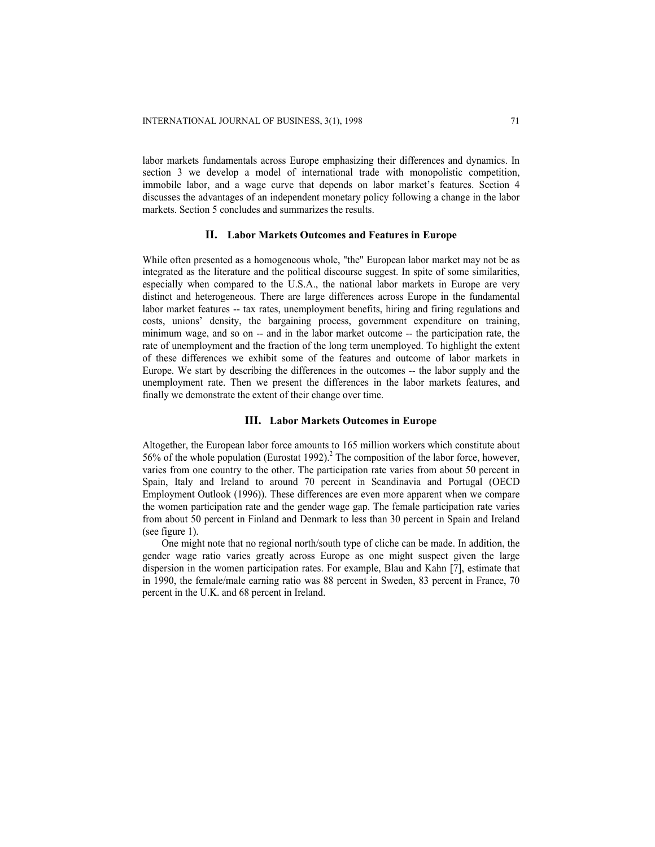labor markets fundamentals across Europe emphasizing their differences and dynamics. In section 3 we develop a model of international trade with monopolistic competition, immobile labor, and a wage curve that depends on labor market's features. Section 4 discusses the advantages of an independent monetary policy following a change in the labor markets. Section 5 concludes and summarizes the results.

## **II. Labor Markets Outcomes and Features in Europe**

While often presented as a homogeneous whole, "the" European labor market may not be as integrated as the literature and the political discourse suggest. In spite of some similarities, especially when compared to the U.S.A., the national labor markets in Europe are very distinct and heterogeneous. There are large differences across Europe in the fundamental labor market features -- tax rates, unemployment benefits, hiring and firing regulations and costs, unions' density, the bargaining process, government expenditure on training, minimum wage, and so on -- and in the labor market outcome -- the participation rate, the rate of unemployment and the fraction of the long term unemployed. To highlight the extent of these differences we exhibit some of the features and outcome of labor markets in Europe. We start by describing the differences in the outcomes -- the labor supply and the unemployment rate. Then we present the differences in the labor markets features, and finally we demonstrate the extent of their change over time.

## **III. Labor Markets Outcomes in Europe**

Altogether, the European labor force amounts to 165 million workers which constitute about 56% of the whole population (Eurostat 1992).<sup>2</sup> The composition of the labor force, however, varies from one country to the other. The participation rate varies from about 50 percent in Spain, Italy and Ireland to around 70 percent in Scandinavia and Portugal (OECD Employment Outlook (1996)). These differences are even more apparent when we compare the women participation rate and the gender wage gap. The female participation rate varies from about 50 percent in Finland and Denmark to less than 30 percent in Spain and Ireland (see figure 1).

One might note that no regional north/south type of cliche can be made. In addition, the gender wage ratio varies greatly across Europe as one might suspect given the large dispersion in the women participation rates. For example, Blau and Kahn [7], estimate that in 1990, the female/male earning ratio was 88 percent in Sweden, 83 percent in France, 70 percent in the U.K. and 68 percent in Ireland.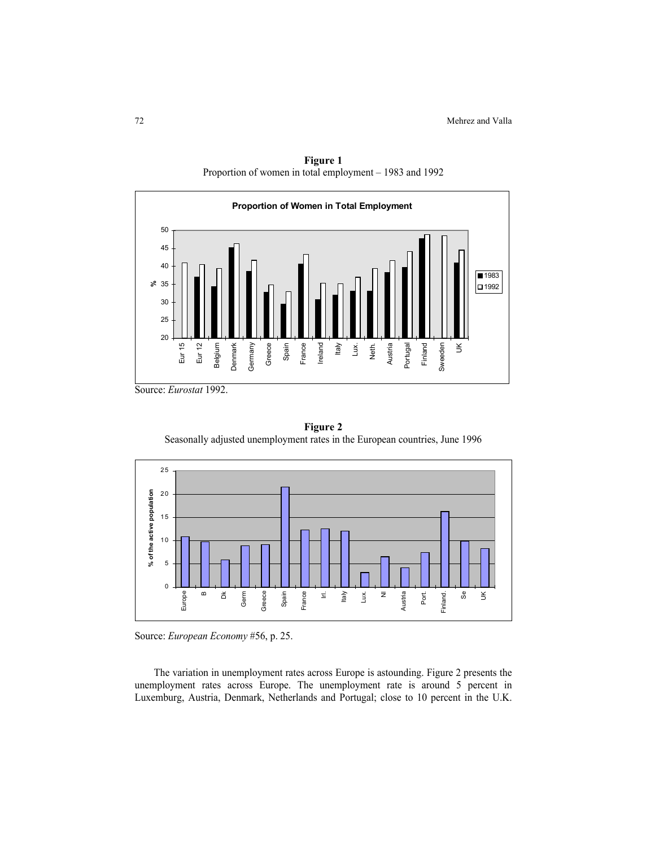

**Figure 1**  Proportion of women in total employment – 1983 and 1992

Source: *Eurostat* 1992.





Source: *European Economy* #56, p. 25.

The variation in unemployment rates across Europe is astounding. Figure 2 presents the unemployment rates across Europe. The unemployment rate is around 5 percent in Luxemburg, Austria, Denmark, Netherlands and Portugal; close to 10 percent in the U.K.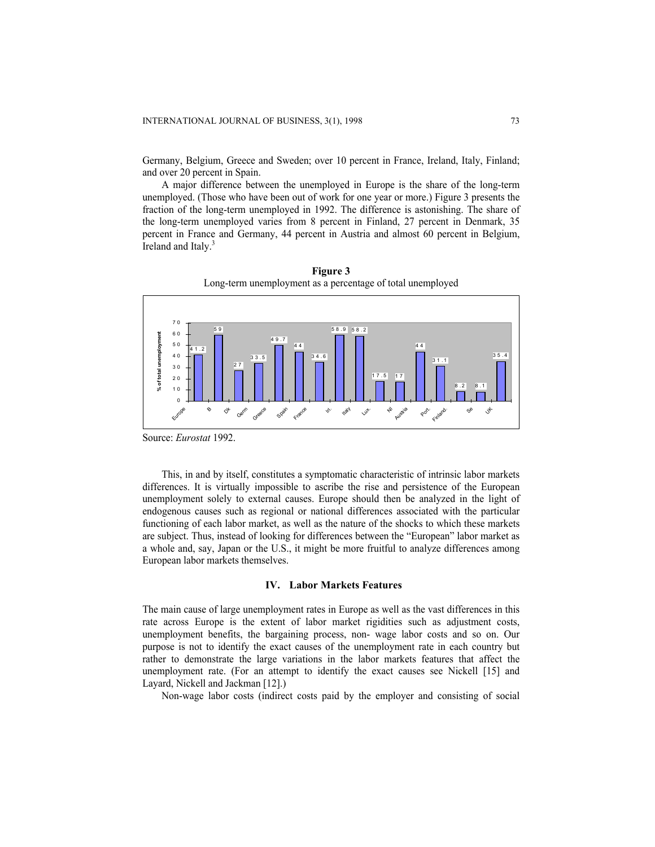Germany, Belgium, Greece and Sweden; over 10 percent in France, Ireland, Italy, Finland; and over 20 percent in Spain.

A major difference between the unemployed in Europe is the share of the long-term unemployed. (Those who have been out of work for one year or more.) Figure 3 presents the fraction of the long-term unemployed in 1992. The difference is astonishing. The share of the long-term unemployed varies from 8 percent in Finland, 27 percent in Denmark, 35 percent in France and Germany, 44 percent in Austria and almost 60 percent in Belgium, Ireland and Italy.<sup>3</sup>



**Figure 3**  Long-term unemployment as a percentage of total unemployed

Source: *Eurostat* 1992.

This, in and by itself, constitutes a symptomatic characteristic of intrinsic labor markets differences. It is virtually impossible to ascribe the rise and persistence of the European unemployment solely to external causes. Europe should then be analyzed in the light of endogenous causes such as regional or national differences associated with the particular functioning of each labor market, as well as the nature of the shocks to which these markets are subject. Thus, instead of looking for differences between the "European" labor market as a whole and, say, Japan or the U.S., it might be more fruitful to analyze differences among European labor markets themselves.

#### **IV. Labor Markets Features**

The main cause of large unemployment rates in Europe as well as the vast differences in this rate across Europe is the extent of labor market rigidities such as adjustment costs, unemployment benefits, the bargaining process, non- wage labor costs and so on. Our purpose is not to identify the exact causes of the unemployment rate in each country but rather to demonstrate the large variations in the labor markets features that affect the unemployment rate. (For an attempt to identify the exact causes see Nickell [15] and Layard, Nickell and Jackman [12].)

Non-wage labor costs (indirect costs paid by the employer and consisting of social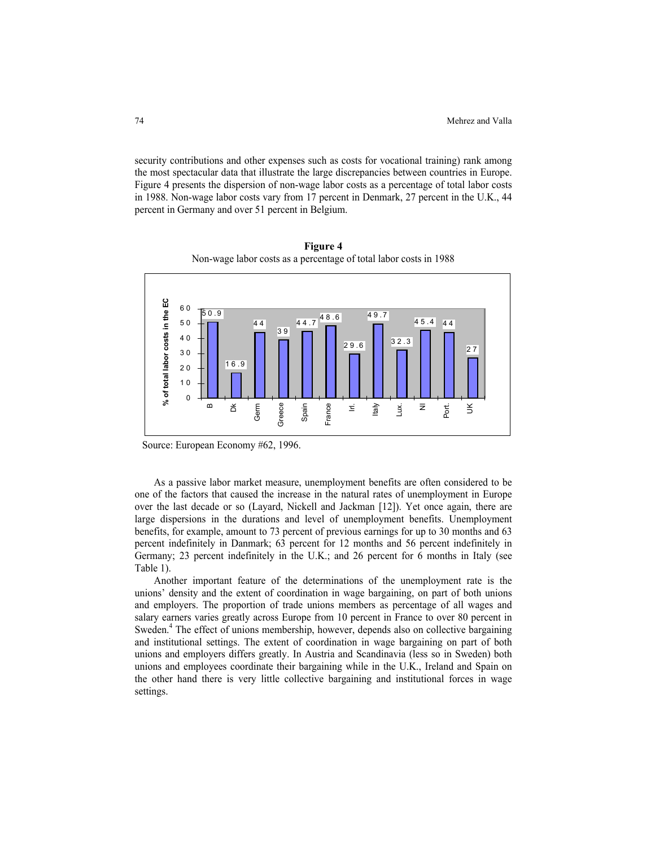security contributions and other expenses such as costs for vocational training) rank among the most spectacular data that illustrate the large discrepancies between countries in Europe. Figure 4 presents the dispersion of non-wage labor costs as a percentage of total labor costs in 1988. Non-wage labor costs vary from 17 percent in Denmark, 27 percent in the U.K., 44 percent in Germany and over 51 percent in Belgium.



**Figure 4**  Non-wage labor costs as a percentage of total labor costs in 1988

Source: European Economy #62, 1996.

As a passive labor market measure, unemployment benefits are often considered to be one of the factors that caused the increase in the natural rates of unemployment in Europe over the last decade or so (Layard, Nickell and Jackman [12]). Yet once again, there are large dispersions in the durations and level of unemployment benefits. Unemployment benefits, for example, amount to 73 percent of previous earnings for up to 30 months and 63 percent indefinitely in Danmark; 63 percent for 12 months and 56 percent indefinitely in Germany; 23 percent indefinitely in the U.K.; and 26 percent for 6 months in Italy (see Table 1).

Another important feature of the determinations of the unemployment rate is the unions' density and the extent of coordination in wage bargaining, on part of both unions and employers. The proportion of trade unions members as percentage of all wages and salary earners varies greatly across Europe from 10 percent in France to over 80 percent in Sweden.<sup>4</sup> The effect of unions membership, however, depends also on collective bargaining and institutional settings. The extent of coordination in wage bargaining on part of both unions and employers differs greatly. In Austria and Scandinavia (less so in Sweden) both unions and employees coordinate their bargaining while in the U.K., Ireland and Spain on the other hand there is very little collective bargaining and institutional forces in wage settings.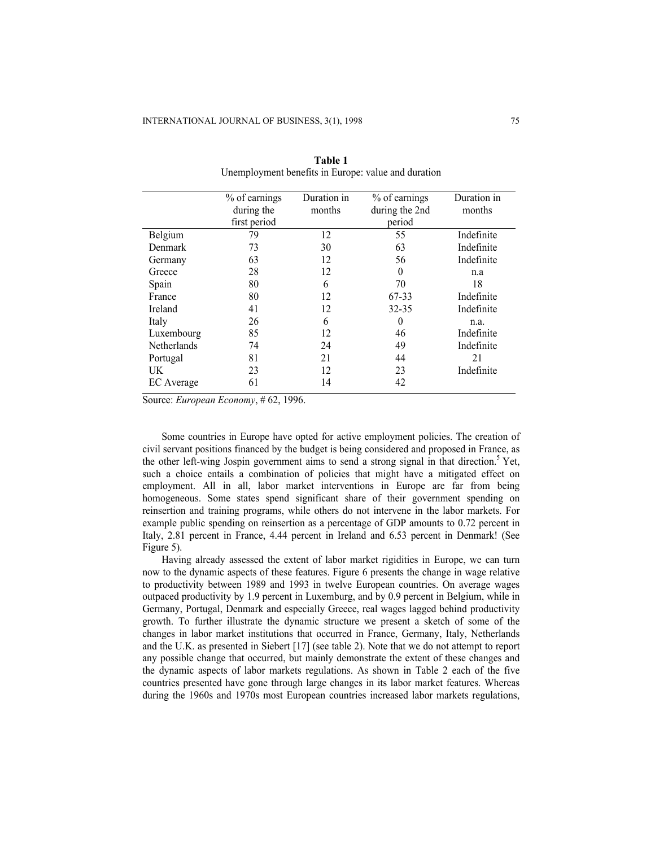|                    | % of earnings | Duration in | % of earnings  | Duration in |
|--------------------|---------------|-------------|----------------|-------------|
|                    | during the    | months      | during the 2nd | months      |
|                    | first period  |             | period         |             |
| Belgium            | 79            | 12          | 55             | Indefinite  |
| Denmark            | 73            | 30          | 63             | Indefinite  |
| Germany            | 63            | 12          | 56             | Indefinite  |
| Greece             | 28            | 12          | $\theta$       | n.a         |
| Spain              | 80            | 6           | 70             | 18          |
| France             | 80            | 12          | 67-33          | Indefinite  |
| Ireland            | 41            | 12          | $32 - 35$      | Indefinite  |
| Italy              | 26            | 6           | 0              | n.a.        |
| Luxembourg         | 85            | 12          | 46             | Indefinite  |
| <b>Netherlands</b> | 74            | 24          | 49             | Indefinite  |
| Portugal           | 81            | 21          | 44             | 21          |
| UK                 | 23            | 12          | 23             | Indefinite  |
| EC Average         | 61            | 14          | 42             |             |
|                    |               |             |                |             |

**Table 1**  Unemployment benefits in Europe: value and duration

Source: *European Economy*, # 62, 1996.

Some countries in Europe have opted for active employment policies. The creation of civil servant positions financed by the budget is being considered and proposed in France, as the other left-wing Jospin government aims to send a strong signal in that direction.<sup>5</sup> Yet, such a choice entails a combination of policies that might have a mitigated effect on employment. All in all, labor market interventions in Europe are far from being homogeneous. Some states spend significant share of their government spending on reinsertion and training programs, while others do not intervene in the labor markets. For example public spending on reinsertion as a percentage of GDP amounts to 0.72 percent in Italy, 2.81 percent in France, 4.44 percent in Ireland and 6.53 percent in Denmark! (See Figure 5).

Having already assessed the extent of labor market rigidities in Europe, we can turn now to the dynamic aspects of these features. Figure 6 presents the change in wage relative to productivity between 1989 and 1993 in twelve European countries. On average wages outpaced productivity by 1.9 percent in Luxemburg, and by 0.9 percent in Belgium, while in Germany, Portugal, Denmark and especially Greece, real wages lagged behind productivity growth. To further illustrate the dynamic structure we present a sketch of some of the changes in labor market institutions that occurred in France, Germany, Italy, Netherlands and the U.K. as presented in Siebert [17] (see table 2). Note that we do not attempt to report any possible change that occurred, but mainly demonstrate the extent of these changes and the dynamic aspects of labor markets regulations. As shown in Table 2 each of the five countries presented have gone through large changes in its labor market features. Whereas during the 1960s and 1970s most European countries increased labor markets regulations,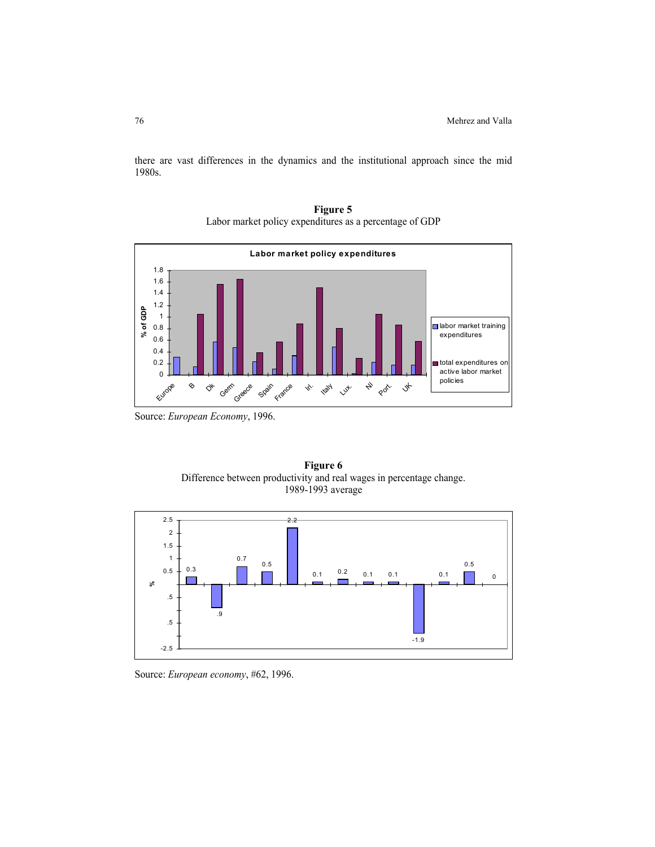there are vast differences in the dynamics and the institutional approach since the mid 1980s.



**Figure 5**  Labor market policy expenditures as a percentage of GDP

Source: *European Economy*, 1996.





Source: *European economy*, #62, 1996.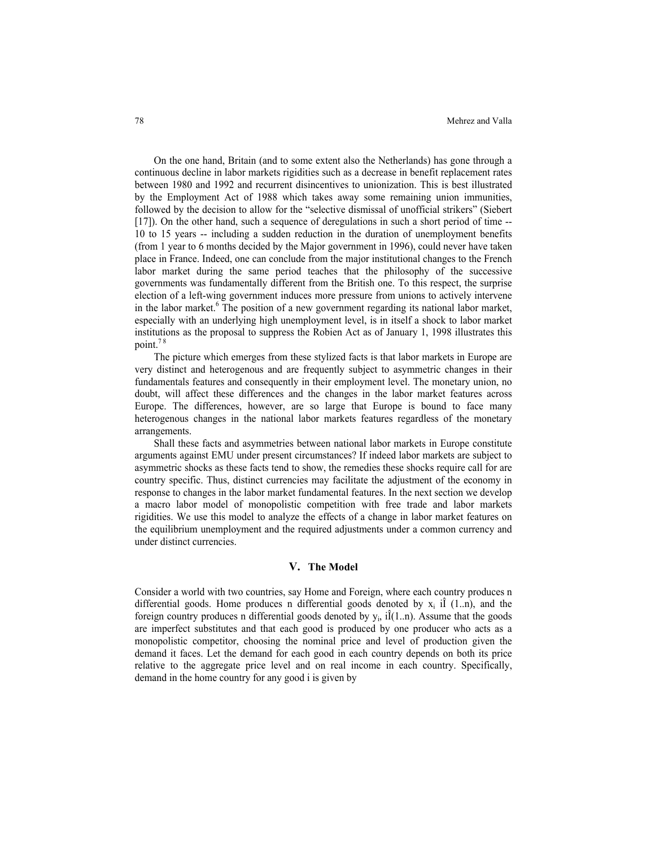On the one hand, Britain (and to some extent also the Netherlands) has gone through a continuous decline in labor markets rigidities such as a decrease in benefit replacement rates between 1980 and 1992 and recurrent disincentives to unionization. This is best illustrated by the Employment Act of 1988 which takes away some remaining union immunities, followed by the decision to allow for the "selective dismissal of unofficial strikers" (Siebert [17]). On the other hand, such a sequence of deregulations in such a short period of time -- 10 to 15 years -- including a sudden reduction in the duration of unemployment benefits (from 1 year to 6 months decided by the Major government in 1996), could never have taken place in France. Indeed, one can conclude from the major institutional changes to the French labor market during the same period teaches that the philosophy of the successive governments was fundamentally different from the British one. To this respect, the surprise election of a left-wing government induces more pressure from unions to actively intervene in the labor market.<sup>6</sup> The position of a new government regarding its national labor market, especially with an underlying high unemployment level, is in itself a shock to labor market institutions as the proposal to suppress the Robien Act as of January 1, 1998 illustrates this point.<sup>78</sup>

The picture which emerges from these stylized facts is that labor markets in Europe are very distinct and heterogenous and are frequently subject to asymmetric changes in their fundamentals features and consequently in their employment level. The monetary union, no doubt, will affect these differences and the changes in the labor market features across Europe. The differences, however, are so large that Europe is bound to face many heterogenous changes in the national labor markets features regardless of the monetary arrangements.

Shall these facts and asymmetries between national labor markets in Europe constitute arguments against EMU under present circumstances? If indeed labor markets are subject to asymmetric shocks as these facts tend to show, the remedies these shocks require call for are country specific. Thus, distinct currencies may facilitate the adjustment of the economy in response to changes in the labor market fundamental features. In the next section we develop a macro labor model of monopolistic competition with free trade and labor markets rigidities. We use this model to analyze the effects of a change in labor market features on the equilibrium unemployment and the required adjustments under a common currency and under distinct currencies.

## **V. The Model**

Consider a world with two countries, say Home and Foreign, where each country produces n differential goods. Home produces n differential goods denoted by  $x_i$  if (1..n), and the foreign country produces n differential goods denoted by  $y_i$ , i $\hat{I}(1..n)$ . Assume that the goods are imperfect substitutes and that each good is produced by one producer who acts as a monopolistic competitor, choosing the nominal price and level of production given the demand it faces. Let the demand for each good in each country depends on both its price relative to the aggregate price level and on real income in each country. Specifically, demand in the home country for any good i is given by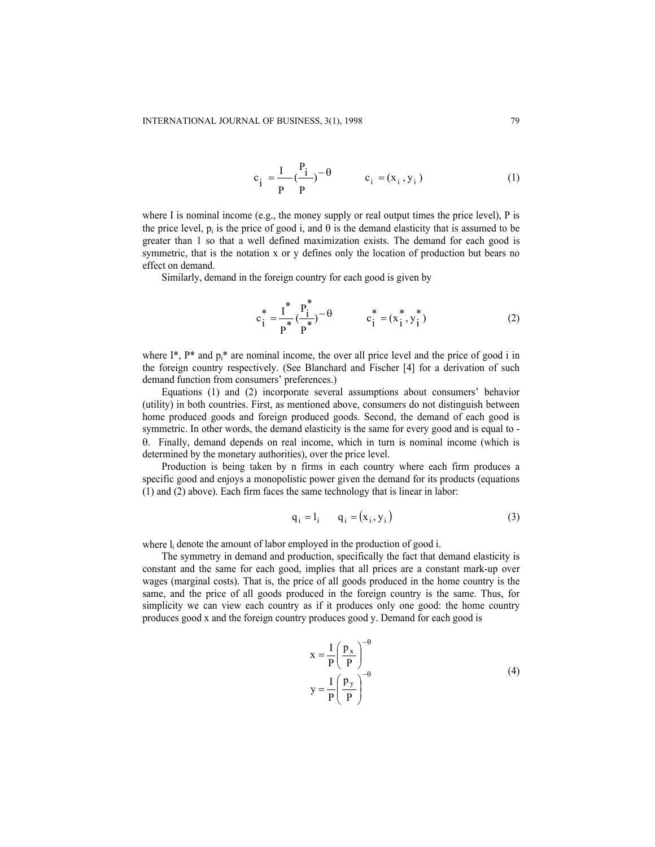$$
c_{i} = \frac{I}{P} \left(\frac{P_{i}}{P}\right)^{-\theta} \qquad c_{i} = (x_{i}, y_{i})
$$
 (1)

where I is nominal income (e.g., the money supply or real output times the price level), P is the price level, p<sub>i</sub> is the price of good i, and  $\theta$  is the demand elasticity that is assumed to be greater than 1 so that a well defined maximization exists. The demand for each good is symmetric, that is the notation x or y defines only the location of production but bears no effect on demand.

Similarly, demand in the foreign country for each good is given by

$$
c_i^* = \frac{I^*}{P^*} \left(\frac{P_i^*}{P^*}\right)^{-\theta} \qquad c_i^* = (x_i^*, y_i^*)
$$
 (2)

where I<sup>\*</sup>, P<sup>\*</sup> and  $p_i$ <sup>\*</sup> are nominal income, the over all price level and the price of good i in the foreign country respectively. (See Blanchard and Fischer [4] for a derivation of such demand function from consumers' preferences.)

Equations (1) and (2) incorporate several assumptions about consumers' behavior (utility) in both countries. First, as mentioned above, consumers do not distinguish between home produced goods and foreign produced goods. Second, the demand of each good is symmetric. In other words, the demand elasticity is the same for every good and is equal to θ. Finally, demand depends on real income, which in turn is nominal income (which is determined by the monetary authorities), over the price level.

Production is being taken by n firms in each country where each firm produces a specific good and enjoys a monopolistic power given the demand for its products (equations (1) and (2) above). Each firm faces the same technology that is linear in labor:

$$
\mathbf{q}_i = \mathbf{l}_i \qquad \mathbf{q}_i = (\mathbf{x}_i, \mathbf{y}_i) \tag{3}
$$

where  $l_i$  denote the amount of labor employed in the production of good i.

The symmetry in demand and production, specifically the fact that demand elasticity is constant and the same for each good, implies that all prices are a constant mark-up over wages (marginal costs). That is, the price of all goods produced in the home country is the same, and the price of all goods produced in the foreign country is the same. Thus, for simplicity we can view each country as if it produces only one good: the home country produces good x and the foreign country produces good y. Demand for each good is

$$
x = \frac{I}{P} \left(\frac{p_x}{P}\right)^{-\theta}
$$
  

$$
y = \frac{I}{P} \left(\frac{p_y}{P}\right)^{-\theta}
$$
 (4)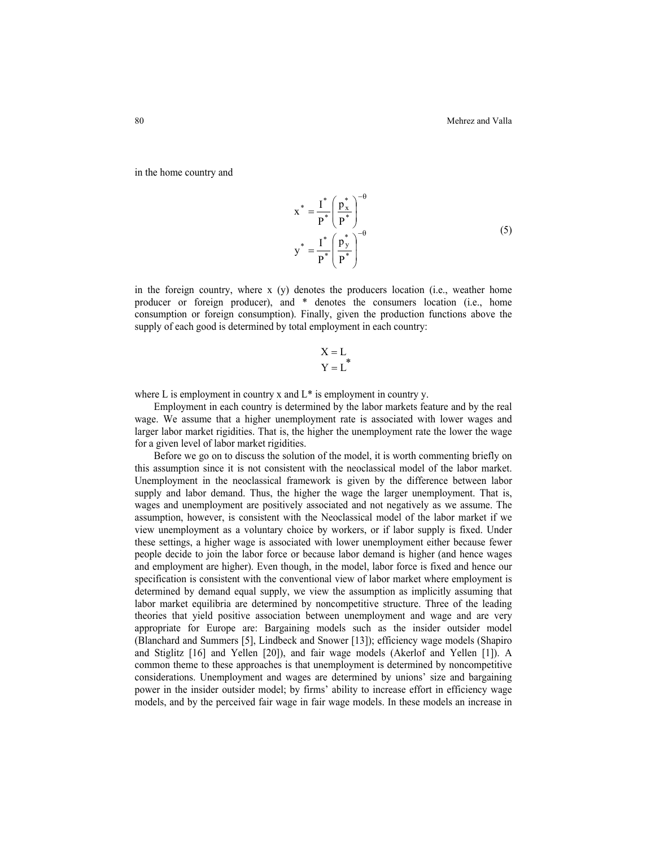in the home country and

$$
x^* = \frac{I^*}{P^*} \left(\frac{p_x^*}{P^*}\right)^{-\theta}
$$
  

$$
y^* = \frac{I^*}{P^*} \left(\frac{p_y^*}{P^*}\right)^{-\theta}
$$
 (5)

in the foreign country, where  $x(y)$  denotes the producers location (i.e., weather home producer or foreign producer), and \* denotes the consumers location (i.e., home consumption or foreign consumption). Finally, given the production functions above the supply of each good is determined by total employment in each country:

$$
X = L
$$
  

$$
Y = L^*
$$

where L is employment in country x and  $L^*$  is employment in country y.

Employment in each country is determined by the labor markets feature and by the real wage. We assume that a higher unemployment rate is associated with lower wages and larger labor market rigidities. That is, the higher the unemployment rate the lower the wage for a given level of labor market rigidities.

Before we go on to discuss the solution of the model, it is worth commenting briefly on this assumption since it is not consistent with the neoclassical model of the labor market. Unemployment in the neoclassical framework is given by the difference between labor supply and labor demand. Thus, the higher the wage the larger unemployment. That is, wages and unemployment are positively associated and not negatively as we assume. The assumption, however, is consistent with the Neoclassical model of the labor market if we view unemployment as a voluntary choice by workers, or if labor supply is fixed. Under these settings, a higher wage is associated with lower unemployment either because fewer people decide to join the labor force or because labor demand is higher (and hence wages and employment are higher). Even though, in the model, labor force is fixed and hence our specification is consistent with the conventional view of labor market where employment is determined by demand equal supply, we view the assumption as implicitly assuming that labor market equilibria are determined by noncompetitive structure. Three of the leading theories that yield positive association between unemployment and wage and are very appropriate for Europe are: Bargaining models such as the insider outsider model (Blanchard and Summers [5], Lindbeck and Snower [13]); efficiency wage models (Shapiro and Stiglitz [16] and Yellen [20]), and fair wage models (Akerlof and Yellen [1]). A common theme to these approaches is that unemployment is determined by noncompetitive considerations. Unemployment and wages are determined by unions' size and bargaining power in the insider outsider model; by firms' ability to increase effort in efficiency wage models, and by the perceived fair wage in fair wage models. In these models an increase in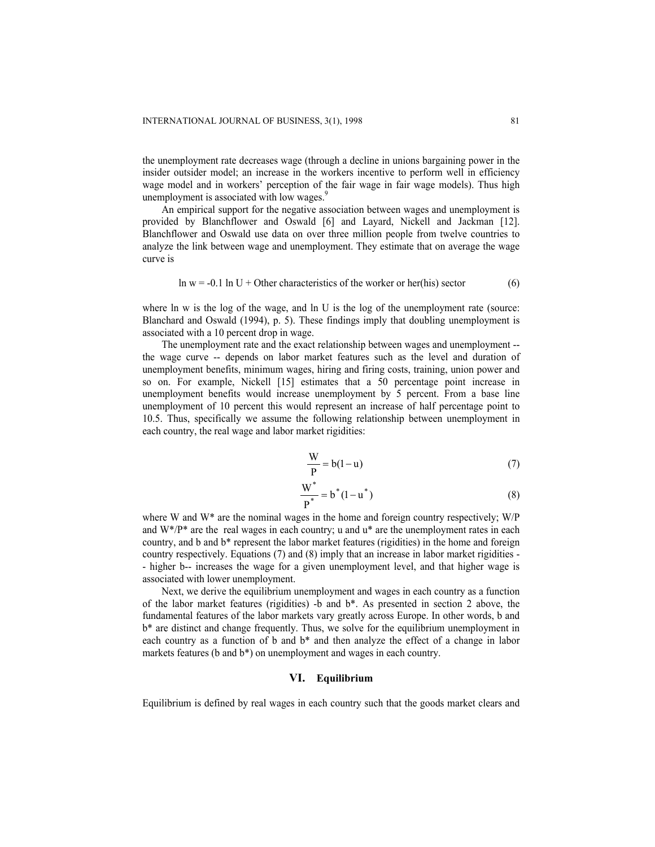the unemployment rate decreases wage (through a decline in unions bargaining power in the insider outsider model; an increase in the workers incentive to perform well in efficiency wage model and in workers' perception of the fair wage in fair wage models). Thus high unemployment is associated with low wages.<sup>9</sup>

An empirical support for the negative association between wages and unemployment is provided by Blanchflower and Oswald [6] and Layard, Nickell and Jackman [12]. Blanchflower and Oswald use data on over three million people from twelve countries to analyze the link between wage and unemployment. They estimate that on average the wage curve is

$$
\ln w = -0.1 \ln U + \text{Other characteristics of the worker or her(his) sector} \tag{6}
$$

where ln w is the log of the wage, and ln U is the log of the unemployment rate (source: Blanchard and Oswald (1994), p. 5). These findings imply that doubling unemployment is associated with a 10 percent drop in wage.

The unemployment rate and the exact relationship between wages and unemployment - the wage curve -- depends on labor market features such as the level and duration of unemployment benefits, minimum wages, hiring and firing costs, training, union power and so on. For example, Nickell [15] estimates that a 50 percentage point increase in unemployment benefits would increase unemployment by 5 percent. From a base line unemployment of 10 percent this would represent an increase of half percentage point to 10.5. Thus, specifically we assume the following relationship between unemployment in each country, the real wage and labor market rigidities:

$$
\frac{W}{P} = b(1 - u) \tag{7}
$$

$$
\frac{W^*}{P^*} = b^*(1 - u^*)
$$
 (8)

where W and W\* are the nominal wages in the home and foreign country respectively; W/P and  $W^*/P^*$  are the real wages in each country; u and  $u^*$  are the unemployment rates in each country, and b and b\* represent the labor market features (rigidities) in the home and foreign country respectively. Equations (7) and (8) imply that an increase in labor market rigidities - - higher b-- increases the wage for a given unemployment level, and that higher wage is associated with lower unemployment.

Next, we derive the equilibrium unemployment and wages in each country as a function of the labor market features (rigidities) -b and b\*. As presented in section 2 above, the fundamental features of the labor markets vary greatly across Europe. In other words, b and b\* are distinct and change frequently. Thus, we solve for the equilibrium unemployment in each country as a function of b and b\* and then analyze the effect of a change in labor markets features (b and b\*) on unemployment and wages in each country.

## **VI. Equilibrium**

Equilibrium is defined by real wages in each country such that the goods market clears and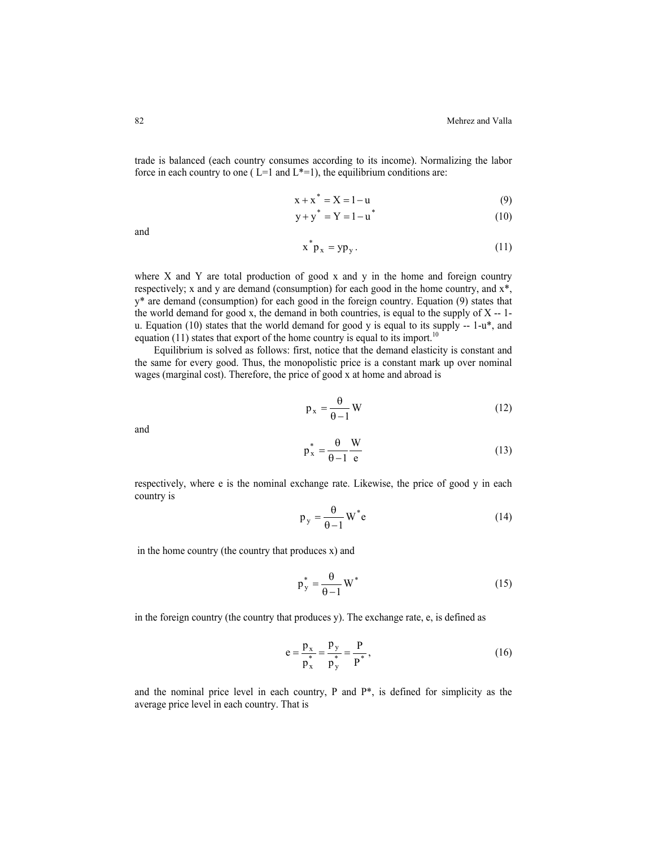trade is balanced (each country consumes according to its income). Normalizing the labor force in each country to one ( $L=1$  and  $L^*=1$ ), the equilibrium conditions are:

$$
x + x^* = X = 1 - u \tag{9}
$$

$$
y + y^* = Y = 1 - u^* \tag{10}
$$

and

$$
x^*p_x = yp_y.
$$
 (11)

where X and Y are total production of good x and y in the home and foreign country respectively; x and y are demand (consumption) for each good in the home country, and x\*, y\* are demand (consumption) for each good in the foreign country. Equation (9) states that the world demand for good x, the demand in both countries, is equal to the supply of  $X - 1$ u. Equation (10) states that the world demand for good y is equal to its supply  $-1-u^*$ , and equation (11) states that export of the home country is equal to its import.<sup>10</sup>

Equilibrium is solved as follows: first, notice that the demand elasticity is constant and the same for every good. Thus, the monopolistic price is a constant mark up over nominal wages (marginal cost). Therefore, the price of good x at home and abroad is

$$
p_x = \frac{\theta}{\theta - 1} W \tag{12}
$$

and

$$
p_x^* = \frac{\theta}{\theta - 1} \frac{W}{e}
$$
 (13)

respectively, where e is the nominal exchange rate. Likewise, the price of good y in each country is

$$
p_y = \frac{\theta}{\theta - 1} W^* e
$$
 (14)

in the home country (the country that produces x) and

$$
p_y^* = \frac{\theta}{\theta - 1} W^* \tag{15}
$$

in the foreign country (the country that produces y). The exchange rate, e, is defined as

$$
e = \frac{p_x}{p_x^*} = \frac{p_y}{p_y^*} = \frac{p}{p^*},
$$
 (16)

and the nominal price level in each country, P and  $P^*$ , is defined for simplicity as the average price level in each country. That is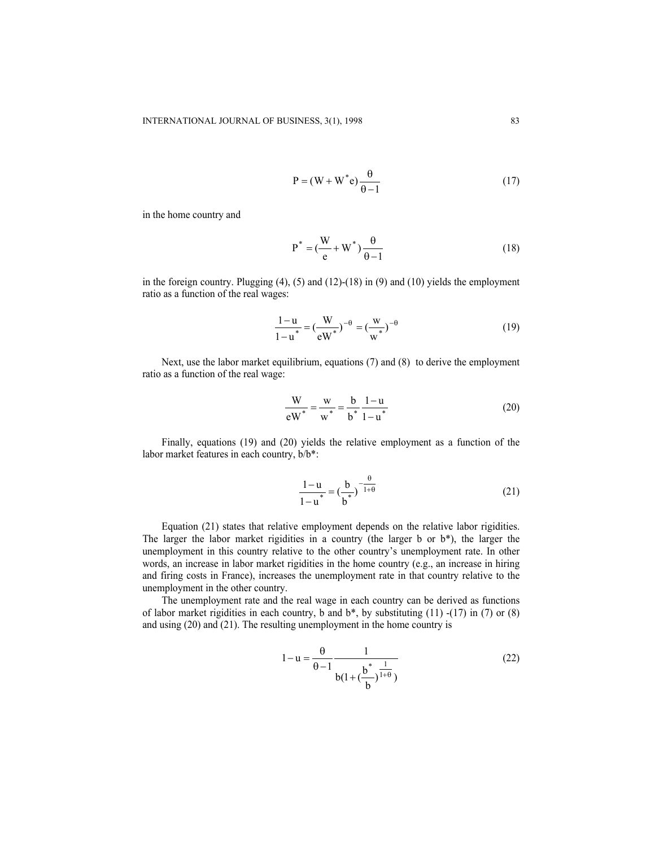$$
P = (W + W^*e) \frac{\theta}{\theta - 1}
$$
 (17)

in the home country and

$$
P^* = \left(\frac{W}{e} + W^*\right)\frac{\theta}{\theta - 1} \tag{18}
$$

in the foreign country. Plugging (4), (5) and (12)-(18) in (9) and (10) yields the employment ratio as a function of the real wages:

$$
\frac{1-u}{1-u^*} = \left(\frac{W}{ew^*}\right)^{-\theta} = \left(\frac{w}{w^*}\right)^{-\theta}
$$
 (19)

Next, use the labor market equilibrium, equations (7) and (8) to derive the employment ratio as a function of the real wage:

$$
\frac{W}{eW^*} = \frac{w}{w^*} = \frac{b}{b^*} \frac{1-u}{1-u^*}
$$
 (20)

Finally, equations (19) and (20) yields the relative employment as a function of the labor market features in each country, b/b\*:

$$
\frac{1-u}{1-u^*} = \left(\frac{b}{b^*}\right)^{-\frac{\theta}{1+\theta}}
$$
 (21)

Equation (21) states that relative employment depends on the relative labor rigidities. The larger the labor market rigidities in a country (the larger b or b\*), the larger the unemployment in this country relative to the other country's unemployment rate. In other words, an increase in labor market rigidities in the home country (e.g., an increase in hiring and firing costs in France), increases the unemployment rate in that country relative to the unemployment in the other country.

The unemployment rate and the real wage in each country can be derived as functions of labor market rigidities in each country, b and  $b^*$ , by substituting (11) -(17) in (7) or (8) and using (20) and (21). The resulting unemployment in the home country is

$$
1 - u = \frac{\theta}{\theta - 1} \frac{1}{b(1 + (\frac{b^*}{b})^{\frac{1}{1 + \theta}})}
$$
(22)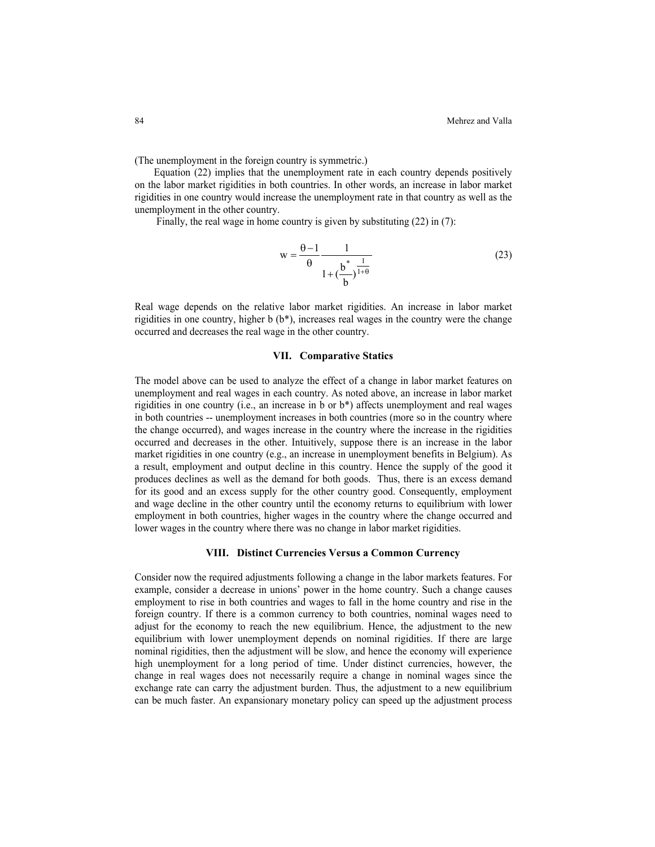(The unemployment in the foreign country is symmetric.)

Equation (22) implies that the unemployment rate in each country depends positively on the labor market rigidities in both countries. In other words, an increase in labor market rigidities in one country would increase the unemployment rate in that country as well as the unemployment in the other country.

Finally, the real wage in home country is given by substituting (22) in (7):

$$
w = \frac{\theta - 1}{\theta} \frac{1}{1 + (\frac{b^*}{b})^{\frac{1}{1 + \theta}}}
$$
(23)

Real wage depends on the relative labor market rigidities. An increase in labor market rigidities in one country, higher b (b\*), increases real wages in the country were the change occurred and decreases the real wage in the other country.

#### **VII. Comparative Statics**

The model above can be used to analyze the effect of a change in labor market features on unemployment and real wages in each country. As noted above, an increase in labor market rigidities in one country (i.e., an increase in b or b\*) affects unemployment and real wages in both countries -- unemployment increases in both countries (more so in the country where the change occurred), and wages increase in the country where the increase in the rigidities occurred and decreases in the other. Intuitively, suppose there is an increase in the labor market rigidities in one country (e.g., an increase in unemployment benefits in Belgium). As a result, employment and output decline in this country. Hence the supply of the good it produces declines as well as the demand for both goods. Thus, there is an excess demand for its good and an excess supply for the other country good. Consequently, employment and wage decline in the other country until the economy returns to equilibrium with lower employment in both countries, higher wages in the country where the change occurred and lower wages in the country where there was no change in labor market rigidities.

## **VIII. Distinct Currencies Versus a Common Currency**

Consider now the required adjustments following a change in the labor markets features. For example, consider a decrease in unions' power in the home country. Such a change causes employment to rise in both countries and wages to fall in the home country and rise in the foreign country. If there is a common currency to both countries, nominal wages need to adjust for the economy to reach the new equilibrium. Hence, the adjustment to the new equilibrium with lower unemployment depends on nominal rigidities. If there are large nominal rigidities, then the adjustment will be slow, and hence the economy will experience high unemployment for a long period of time. Under distinct currencies, however, the change in real wages does not necessarily require a change in nominal wages since the exchange rate can carry the adjustment burden. Thus, the adjustment to a new equilibrium can be much faster. An expansionary monetary policy can speed up the adjustment process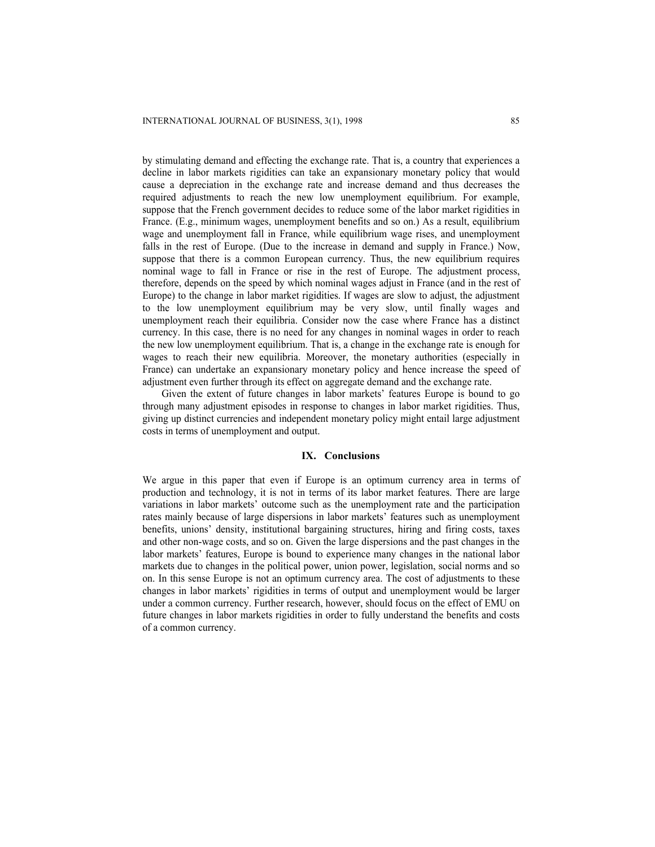by stimulating demand and effecting the exchange rate. That is, a country that experiences a decline in labor markets rigidities can take an expansionary monetary policy that would cause a depreciation in the exchange rate and increase demand and thus decreases the required adjustments to reach the new low unemployment equilibrium. For example, suppose that the French government decides to reduce some of the labor market rigidities in France. (E.g., minimum wages, unemployment benefits and so on.) As a result, equilibrium wage and unemployment fall in France, while equilibrium wage rises, and unemployment falls in the rest of Europe. (Due to the increase in demand and supply in France.) Now, suppose that there is a common European currency. Thus, the new equilibrium requires nominal wage to fall in France or rise in the rest of Europe. The adjustment process, therefore, depends on the speed by which nominal wages adjust in France (and in the rest of Europe) to the change in labor market rigidities. If wages are slow to adjust, the adjustment to the low unemployment equilibrium may be very slow, until finally wages and unemployment reach their equilibria. Consider now the case where France has a distinct currency. In this case, there is no need for any changes in nominal wages in order to reach the new low unemployment equilibrium. That is, a change in the exchange rate is enough for wages to reach their new equilibria. Moreover, the monetary authorities (especially in France) can undertake an expansionary monetary policy and hence increase the speed of adjustment even further through its effect on aggregate demand and the exchange rate.

Given the extent of future changes in labor markets' features Europe is bound to go through many adjustment episodes in response to changes in labor market rigidities. Thus, giving up distinct currencies and independent monetary policy might entail large adjustment costs in terms of unemployment and output.

## **IX. Conclusions**

We argue in this paper that even if Europe is an optimum currency area in terms of production and technology, it is not in terms of its labor market features. There are large variations in labor markets' outcome such as the unemployment rate and the participation rates mainly because of large dispersions in labor markets' features such as unemployment benefits, unions' density, institutional bargaining structures, hiring and firing costs, taxes and other non-wage costs, and so on. Given the large dispersions and the past changes in the labor markets' features, Europe is bound to experience many changes in the national labor markets due to changes in the political power, union power, legislation, social norms and so on. In this sense Europe is not an optimum currency area. The cost of adjustments to these changes in labor markets' rigidities in terms of output and unemployment would be larger under a common currency. Further research, however, should focus on the effect of EMU on future changes in labor markets rigidities in order to fully understand the benefits and costs of a common currency.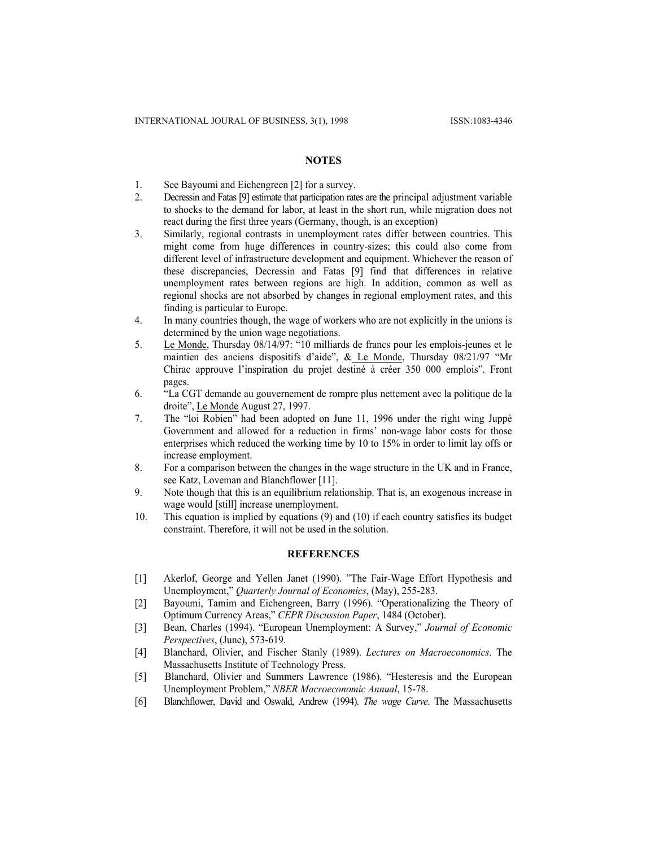## **NOTES**

- 1. See Bayoumi and Eichengreen [2] for a survey.
- 2. Decressin and Fatas [9] estimate that participation rates are the principal adjustment variable to shocks to the demand for labor, at least in the short run, while migration does not react during the first three years (Germany, though, is an exception)
- 3. Similarly, regional contrasts in unemployment rates differ between countries. This might come from huge differences in country-sizes; this could also come from different level of infrastructure development and equipment. Whichever the reason of these discrepancies, Decressin and Fatas [9] find that differences in relative unemployment rates between regions are high. In addition, common as well as regional shocks are not absorbed by changes in regional employment rates, and this finding is particular to Europe.
- 4. In many countries though, the wage of workers who are not explicitly in the unions is determined by the union wage negotiations.
- 5. Le Monde, Thursday 08/14/97: "10 milliards de francs pour les emplois-jeunes et le maintien des anciens dispositifs d'aide", & Le Monde, Thursday 08/21/97 "Mr Chirac approuve l'inspiration du projet destiné à créer 350 000 emplois". Front pages.
- 6. "La CGT demande au gouvernement de rompre plus nettement avec la politique de la droite", Le Monde August 27, 1997.
- 7. The "loi Robien" had been adopted on June 11, 1996 under the right wing Juppé Government and allowed for a reduction in firms' non-wage labor costs for those enterprises which reduced the working time by 10 to 15% in order to limit lay offs or increase employment.
- 8. For a comparison between the changes in the wage structure in the UK and in France, see Katz, Loveman and Blanchflower [11].
- 9. Note though that this is an equilibrium relationship. That is, an exogenous increase in wage would [still] increase unemployment.
- 10. This equation is implied by equations (9) and (10) if each country satisfies its budget constraint. Therefore, it will not be used in the solution.

# **REFERENCES**

- [1] Akerlof, George and Yellen Janet (1990). "The Fair-Wage Effort Hypothesis and Unemployment," *Quarterly Journal of Economics*, (May), 255-283.
- [2] Bayoumi, Tamim and Eichengreen, Barry (1996). "Operationalizing the Theory of Optimum Currency Areas," *CEPR Discussion Paper*, 1484 (October).
- [3] Bean, Charles (1994). "European Unemployment: A Survey," *Journal of Economic Perspectives*, (June), 573-619.
- [4] Blanchard, Olivier, and Fischer Stanly (1989). *Lectures on Macroeconomics*. The Massachusetts Institute of Technology Press.
- [5] Blanchard, Olivier and Summers Lawrence (1986). "Hesteresis and the European Unemployment Problem," *NBER Macroeconomic Annual*, 15-78.
- [6] Blanchflower, David and Oswald, Andrew (1994). *The wage Curve*. The Massachusetts